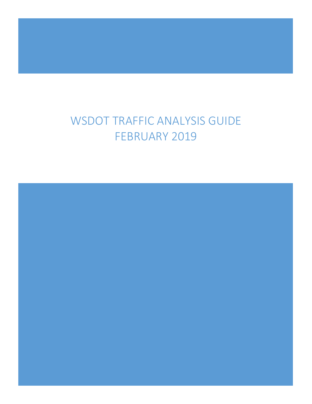# WSDOT TRAFFIC ANALYSIS GUIDE FEBRUARY 2019

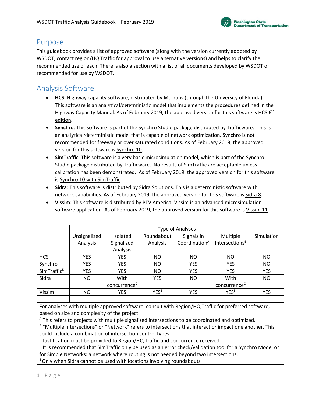#### Purpose

This guidebook provides a list of approved software (along with the version currently adopted by WSDOT, contact region/HQ Traffic for approval to use alternative versions) and helps to clarify the recommended use of each. There is also a section with a list of all documents developed by WSDOT or recommended for use by WSDOT.

### Analysis Software

- **HCS**: Highway capacity software, distributed by McTrans (through the University of Florida). This software is an analytical/deterministic model that implements the procedures defined in the Highway Capacity Manual. As of February 2019, the approved version for this software is HCS  $6<sup>th</sup>$ edition.
- **Synchro**: This software is part of the Synchro Studio package distributed by Trafficware. This is an analytical**/**deterministic model that is capable of network optimization. Synchro is not recommended for freeway or over saturated conditions. As of February 2019, the approved version for this software is Synchro 10.
- **SimTraffic**: This software is a very basic microsimulation model, which is part of the Synchro Studio package distributed by Trafficware. No results of SimTraffic are acceptable unless calibration has been demonstrated. As of February 2019, the approved version for this software is Synchro 10 with SimTraffic.
- **Sidra**: This software is distributed by Sidra Solutions. This is a deterministic software with network capabilities. As of February 2019, the approved version for this software is Sidra 8.
- **Vissim**: This software is distributed by PTV America. Vissim is an advanced microsimulation software application. As of February 2019, the approved version for this software is Vissim 11.

|                         | <b>Type of Analyses</b> |                          |                  |                           |                            |            |
|-------------------------|-------------------------|--------------------------|------------------|---------------------------|----------------------------|------------|
|                         | Unsignalized            | Isolated                 | Roundabout       | Signals in                | Multiple                   | Simulation |
|                         | Analysis                | Signalized               | Analysis         | Coordination <sup>A</sup> | Intersections <sup>B</sup> |            |
|                         |                         | Analysis                 |                  |                           |                            |            |
| <b>HCS</b>              | <b>YES</b>              | <b>YES</b>               | ΝO               | NO                        | <b>NO</b>                  | <b>NO</b>  |
| Synchro                 | <b>YES</b>              | <b>YES</b>               | <b>NO</b>        | <b>YES</b>                | <b>YES</b>                 | <b>NO</b>  |
| SimTraffic <sup>D</sup> | <b>YES</b>              | <b>YES</b>               | ΝO               | <b>YES</b>                | <b>YES</b>                 | <b>YES</b> |
| Sidra                   | <b>NO</b>               | With                     | <b>YES</b>       | ΝO                        | With                       | <b>NO</b>  |
|                         |                         | concurrence <sup>c</sup> |                  |                           | concurrence <sup>c</sup>   |            |
| Vissim                  | <b>NO</b>               | <b>YES</b>               | YES <sup>E</sup> | <b>YES</b>                | <b>YESE</b>                | <b>YES</b> |
|                         |                         |                          |                  |                           |                            |            |

For analyses with multiple approved software, consult with Region/HQ Traffic for preferred software, based on size and complexity of the project.

<sup>A</sup> This refers to projects with multiple signalized intersections to be coordinated and optimized.

B "Multiple Intersections" or "Network" refers to intersections that interact or impact one another. This could include a combination of intersection control types.

 $\textdegree$  Justification must be provided to Region/HQ Traffic and concurrence received.

 $<sup>D</sup>$  It is recommended that SimTraffic only be used as an error check/validation tool for a Synchro Model or</sup> for Simple Networks: a network where routing is not needed beyond two intersections.

 $E$  Only when Sidra cannot be used with locations involving roundabouts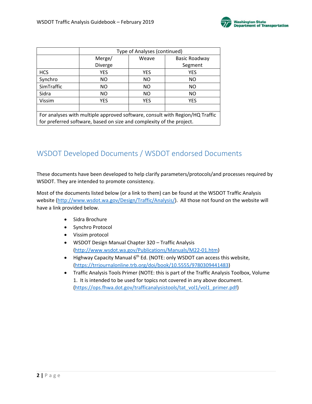

|                                                                              | Type of Analyses (continued) |            |               |  |  |  |  |
|------------------------------------------------------------------------------|------------------------------|------------|---------------|--|--|--|--|
|                                                                              | Merge/                       | Weave      | Basic Roadway |  |  |  |  |
|                                                                              | Diverge                      |            | Segment       |  |  |  |  |
| <b>HCS</b>                                                                   | <b>YES</b>                   | <b>YES</b> | <b>YES</b>    |  |  |  |  |
| Synchro                                                                      | NO.                          | NO         | NO            |  |  |  |  |
| SimTraffic                                                                   | NO.                          | NO         | NO.           |  |  |  |  |
| Sidra                                                                        | NO.                          | NO         | NO            |  |  |  |  |
| Vissim                                                                       | <b>YES</b>                   | <b>YES</b> | <b>YES</b>    |  |  |  |  |
|                                                                              |                              |            |               |  |  |  |  |
| For analyses with multiple approved software, consult with Region/HQ Traffic |                              |            |               |  |  |  |  |
| for preferred software, based on size and complexity of the project.         |                              |            |               |  |  |  |  |

## WSDOT Developed Documents / WSDOT endorsed Documents

These documents have been developed to help clarify parameters/protocols/and processes required by WSDOT. They are intended to promote consistency.

Most of the documents listed below (or a link to them) can be found at the WSDOT Traffic Analysis website [\(http://www.wsdot.wa.gov/Design/Traffic/Analysis/\)](http://www.wsdot.wa.gov/Design/Traffic/Analysis/). All those not found on the website will have a link provided below.

- Sidra Brochure
- Synchro Protocol
- Vissim protocol
- WSDOT Design Manual Chapter 320 Traffic Analysis [\(http://www.wsdot.wa.gov/Publications/Manuals/M22-01.htm\)](http://www.wsdot.wa.gov/Publications/Manuals/M22-01.htm)
- Highway Capacity Manual 6<sup>th</sup> Ed. (NOTE: only WSDOT can access this website, (https://trrjournalonline.trb.org/doi/book/10.5555/9780309441483)
- Traffic Analysis Tools Primer (NOTE: this is part of the Traffic Analysis Toolbox, Volume 1. It is intended to be used for topics not covered in any above document. [\(https://ops.fhwa.dot.gov/trafficanalysistools/tat\\_vol1/vol1\\_primer.pdf\)](https://ops.fhwa.dot.gov/trafficanalysistools/tat_vol1/vol1_primer.pdf)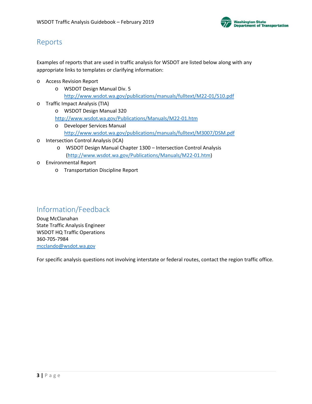

## Reports

Examples of reports that are used in traffic analysis for WSDOT are listed below along with any appropriate links to templates or clarifying information:

- o Access Revision Report
	- o WSDOT Design Manual Div. 5 <http://www.wsdot.wa.gov/publications/manuals/fulltext/M22-01/510.pdf>
- o Traffic Impact Analysis (TIA)
	- o WSDOT Design Manual 320 <http://www.wsdot.wa.gov/Publications/Manuals/M22-01.htm>
	- o Developer Services Manual
		- <http://www.wsdot.wa.gov/publications/manuals/fulltext/M3007/DSM.pdf>
- o Intersection Control Analysis (ICA)
	- o WSDOT Design Manual Chapter 1300 Intersection Control Analysis [\(http://www.wsdot.wa.gov/Publications/Manuals/M22-01.htm\)](http://www.wsdot.wa.gov/Publications/Manuals/M22-01.htm)
- o Environmental Report
	- o Transportation Discipline Report

## Information/Feedback

Doug McClanahan State Traffic Analysis Engineer WSDOT HQ Traffic Operations 360-705-7984 [mcclando@wsdot.wa.gov](mailto:mcclando@wsdot.wa.gov)

For specific analysis questions not involving interstate or federal routes, contact the region traffic office.